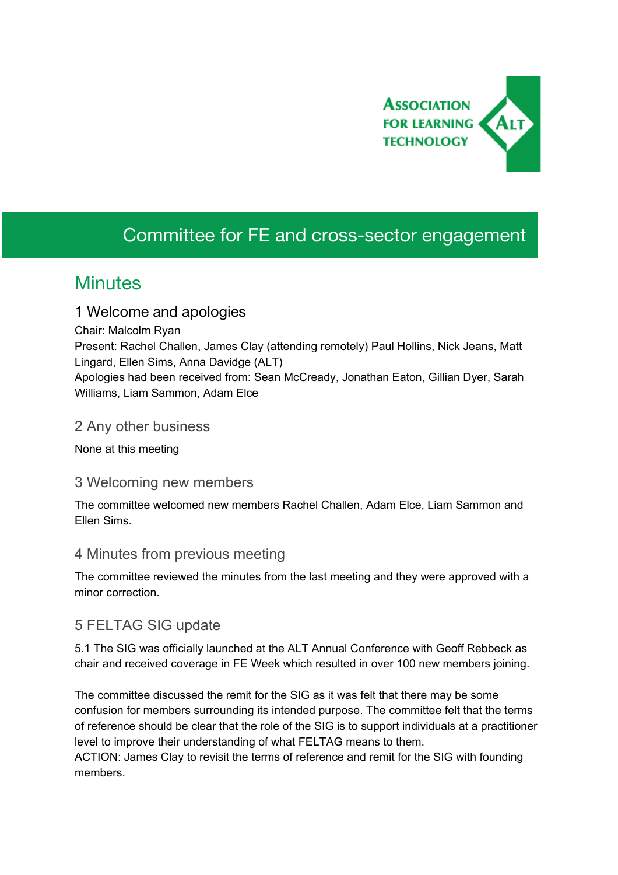

# Committee for FE and cross-sector engagement

## **Minutes**

#### 1 Welcome and apologies

Chair: Malcolm Ryan

Present: Rachel Challen, James Clay (attending remotely) Paul Hollins, Nick Jeans, Matt Lingard, Ellen Sims, Anna Davidge (ALT)

Apologies had been received from: Sean McCready, Jonathan Eaton, Gillian Dyer, Sarah Williams, Liam Sammon, Adam Elce

#### 2 Any other business

None at this meeting

#### 3 Welcoming new members

The committee welcomed new members Rachel Challen, Adam Elce, Liam Sammon and Ellen Sims.

## 4 Minutes from previous meeting

The committee reviewed the minutes from the last meeting and they were approved with a minor correction.

## 5 FELTAG SIG update

5.1 The SIG was officially launched at the ALT Annual Conference with Geoff Rebbeck as chair and received coverage in FE Week which resulted in over 100 new members joining.

The committee discussed the remit for the SIG as it was felt that there may be some confusion for members surrounding its intended purpose. The committee felt that the terms of reference should be clear that the role of the SIG is to support individuals at a practitioner level to improve their understanding of what FELTAG means to them.

ACTION: James Clay to revisit the terms of reference and remit for the SIG with founding members.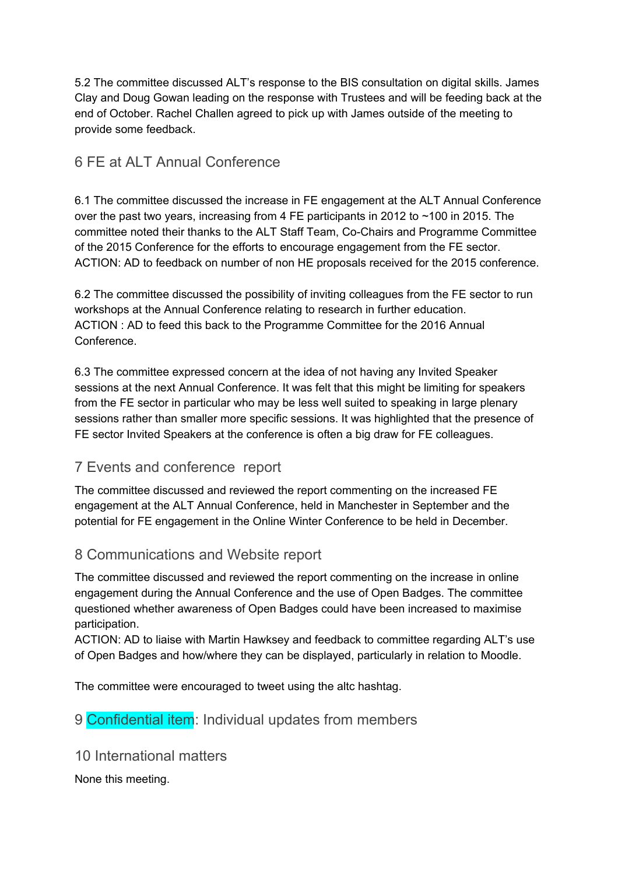5.2 The committee discussed ALT's response to the BIS consultation on digital skills. James Clay and Doug Gowan leading on the response with Trustees and will be feeding back at the end of October. Rachel Challen agreed to pick up with James outside of the meeting to provide some feedback.

## 6 FE at ALT Annual Conference

6.1 The committee discussed the increase in FE engagement at the ALT Annual Conference over the past two years, increasing from 4 FE participants in 2012 to  $\sim$ 100 in 2015. The committee noted their thanks to the ALT Staff Team, Co-Chairs and Programme Committee of the 2015 Conference for the efforts to encourage engagement from the FE sector. ACTION: AD to feedback on number of non HE proposals received for the 2015 conference.

6.2 The committee discussed the possibility of inviting colleagues from the FE sector to run workshops at the Annual Conference relating to research in further education. ACTION : AD to feed this back to the Programme Committee for the 2016 Annual Conference.

6.3 The committee expressed concern at the idea of not having any Invited Speaker sessions at the next Annual Conference. It was felt that this might be limiting for speakers from the FE sector in particular who may be less well suited to speaking in large plenary sessions rather than smaller more specific sessions. It was highlighted that the presence of FE sector Invited Speakers at the conference is often a big draw for FE colleagues.

## 7 Events and conference report

The committee discussed and reviewed the report commenting on the increased FE engagement at the ALT Annual Conference, held in Manchester in September and the potential for FE engagement in the Online Winter Conference to be held in December.

## 8 Communications and Website report

The committee discussed and reviewed the report commenting on the increase in online engagement during the Annual Conference and the use of Open Badges. The committee questioned whether awareness of Open Badges could have been increased to maximise participation.

ACTION: AD to liaise with Martin Hawksey and feedback to committee regarding ALT's use of Open Badges and how/where they can be displayed, particularly in relation to Moodle.

The committee were encouraged to tweet using the altc hashtag.

## 9 **Confidential item:** Individual updates from members

10 International matters

None this meeting.